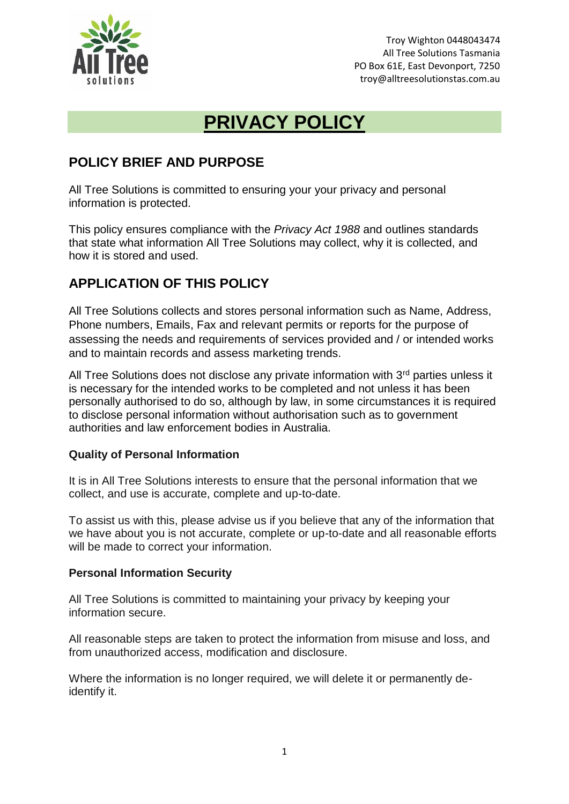

Troy Wighton 0448043474 All Tree Solutions Tasmania PO Box 61E, East Devonport, 7250 troy@alltreesolutionstas.com.au

# **PRIVACY POLICY**

### **POLICY BRIEF AND PURPOSE**

All Tree Solutions is committed to ensuring your your privacy and personal information is protected.

This policy ensures compliance with the *Privacy Act 1988* and outlines standards that state what information All Tree Solutions may collect, why it is collected, and how it is stored and used.

### **APPLICATION OF THIS POLICY**

All Tree Solutions collects and stores personal information such as Name, Address, Phone numbers, Emails, Fax and relevant permits or reports for the purpose of assessing the needs and requirements of services provided and / or intended works and to maintain records and assess marketing trends.

All Tree Solutions does not disclose any private information with 3<sup>rd</sup> parties unless it is necessary for the intended works to be completed and not unless it has been personally authorised to do so, although by law, in some circumstances it is required to disclose personal information without authorisation such as to government authorities and law enforcement bodies in Australia.

#### **Quality of Personal Information**

It is in All Tree Solutions interests to ensure that the personal information that we collect, and use is accurate, complete and up-to-date.

To assist us with this, please advise us if you believe that any of the information that we have about you is not accurate, complete or up-to-date and all reasonable efforts will be made to correct your information.

#### **Personal Information Security**

All Tree Solutions is committed to maintaining your privacy by keeping your information secure.

All reasonable steps are taken to protect the information from misuse and loss, and from unauthorized access, modification and disclosure.

Where the information is no longer required, we will delete it or permanently deidentify it.